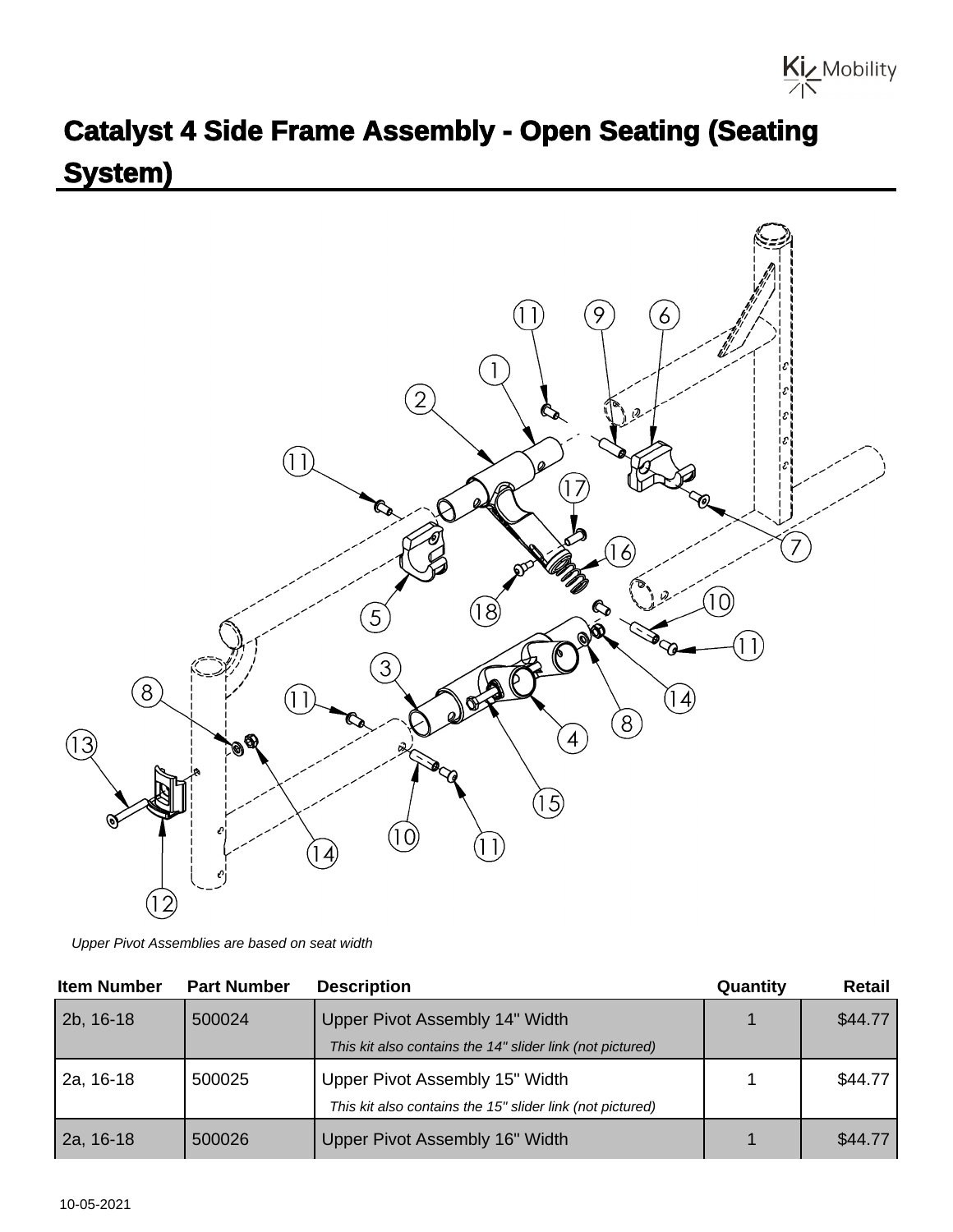

## **Catalyst 4 Side Frame Assembly - Open Seating (Seating System)**



Upper Pivot Assemblies are based on seat width

| <b>Item Number</b> | <b>Part Number</b> | <b>Description</b>                                                                          | Quantity | <b>Retail</b> |
|--------------------|--------------------|---------------------------------------------------------------------------------------------|----------|---------------|
| 2b, 16-18          | 500024             | Upper Pivot Assembly 14" Width<br>This kit also contains the 14" slider link (not pictured) |          | \$44.77       |
| 2a, 16-18          | 500025             | Upper Pivot Assembly 15" Width<br>This kit also contains the 15" slider link (not pictured) |          | \$44.77       |
| 2a, 16-18          | 500026             | Upper Pivot Assembly 16" Width                                                              |          | \$44.77       |